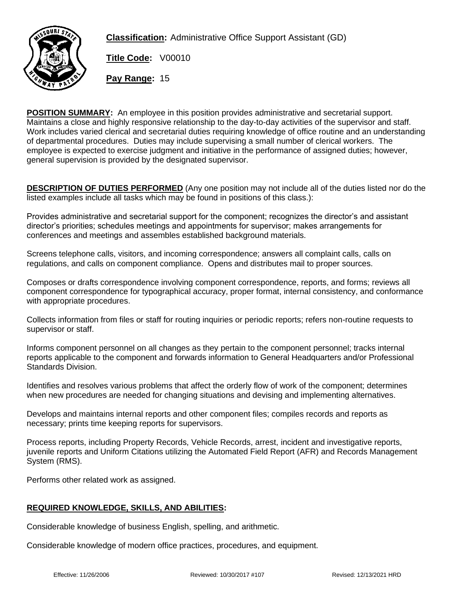

**Classification:** Administrative Office Support Assistant (GD)

**Title Code:** V00010

**Pay Range:** 15

**POSITION SUMMARY:** An employee in this position provides administrative and secretarial support. Maintains a close and highly responsive relationship to the day-to-day activities of the supervisor and staff. Work includes varied clerical and secretarial duties requiring knowledge of office routine and an understanding of departmental procedures. Duties may include supervising a small number of clerical workers. The employee is expected to exercise judgment and initiative in the performance of assigned duties; however, general supervision is provided by the designated supervisor.

**DESCRIPTION OF DUTIES PERFORMED** (Any one position may not include all of the duties listed nor do the listed examples include all tasks which may be found in positions of this class.):

Provides administrative and secretarial support for the component; recognizes the director's and assistant director's priorities; schedules meetings and appointments for supervisor; makes arrangements for conferences and meetings and assembles established background materials.

Screens telephone calls, visitors, and incoming correspondence; answers all complaint calls, calls on regulations, and calls on component compliance. Opens and distributes mail to proper sources.

Composes or drafts correspondence involving component correspondence, reports, and forms; reviews all component correspondence for typographical accuracy, proper format, internal consistency, and conformance with appropriate procedures.

Collects information from files or staff for routing inquiries or periodic reports; refers non-routine requests to supervisor or staff.

Informs component personnel on all changes as they pertain to the component personnel; tracks internal reports applicable to the component and forwards information to General Headquarters and/or Professional Standards Division.

Identifies and resolves various problems that affect the orderly flow of work of the component; determines when new procedures are needed for changing situations and devising and implementing alternatives.

Develops and maintains internal reports and other component files; compiles records and reports as necessary; prints time keeping reports for supervisors.

Process reports, including Property Records, Vehicle Records, arrest, incident and investigative reports, juvenile reports and Uniform Citations utilizing the Automated Field Report (AFR) and Records Management System (RMS).

Performs other related work as assigned.

## **REQUIRED KNOWLEDGE, SKILLS, AND ABILITIES:**

Considerable knowledge of business English, spelling, and arithmetic.

Considerable knowledge of modern office practices, procedures, and equipment.